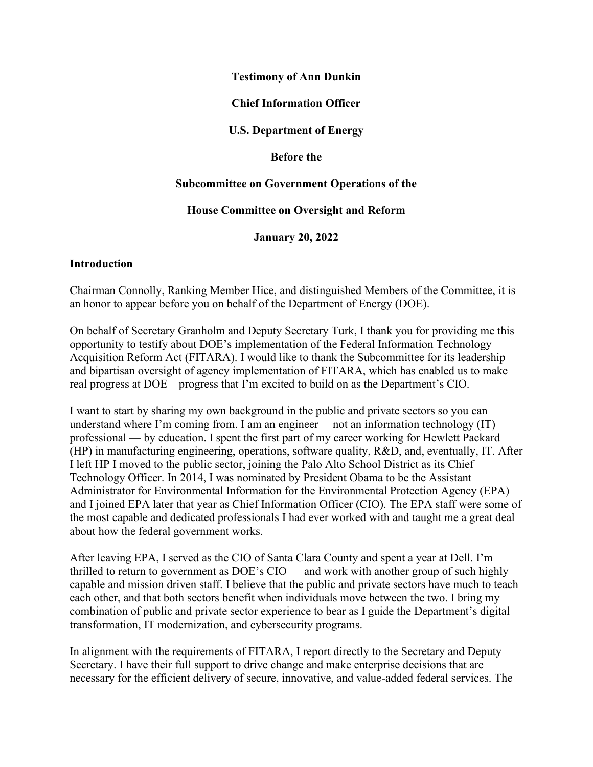### **Testimony of Ann Dunkin**

## **Chief Information Officer**

**U.S. Department of Energy**

### **Before the**

### **Subcommittee on Government Operations of the**

### **House Committee on Oversight and Reform**

**January 20, 2022**

### **Introduction**

Chairman Connolly, Ranking Member Hice, and distinguished Members of the Committee, it is an honor to appear before you on behalf of the Department of Energy (DOE).

On behalf of Secretary Granholm and Deputy Secretary Turk, I thank you for providing me this opportunity to testify about DOE's implementation of the Federal Information Technology Acquisition Reform Act (FITARA). I would like to thank the Subcommittee for its leadership and bipartisan oversight of agency implementation of FITARA, which has enabled us to make real progress at DOE—progress that I'm excited to build on as the Department's CIO.

I want to start by sharing my own background in the public and private sectors so you can understand where I'm coming from. I am an engineer— not an information technology (IT) professional — by education. I spent the first part of my career working for Hewlett Packard (HP) in manufacturing engineering, operations, software quality, R&D, and, eventually, IT. After I left HP I moved to the public sector, joining the Palo Alto School District as its Chief Technology Officer. In 2014, I was nominated by President Obama to be the Assistant Administrator for Environmental Information for the Environmental Protection Agency (EPA) and I joined EPA later that year as Chief Information Officer (CIO). The EPA staff were some of the most capable and dedicated professionals I had ever worked with and taught me a great deal about how the federal government works.

After leaving EPA, I served as the CIO of Santa Clara County and spent a year at Dell. I'm thrilled to return to government as DOE's CIO — and work with another group of such highly capable and mission driven staff. I believe that the public and private sectors have much to teach each other, and that both sectors benefit when individuals move between the two. I bring my combination of public and private sector experience to bear as I guide the Department's digital transformation, IT modernization, and cybersecurity programs.

In alignment with the requirements of FITARA, I report directly to the Secretary and Deputy Secretary. I have their full support to drive change and make enterprise decisions that are necessary for the efficient delivery of secure, innovative, and value-added federal services. The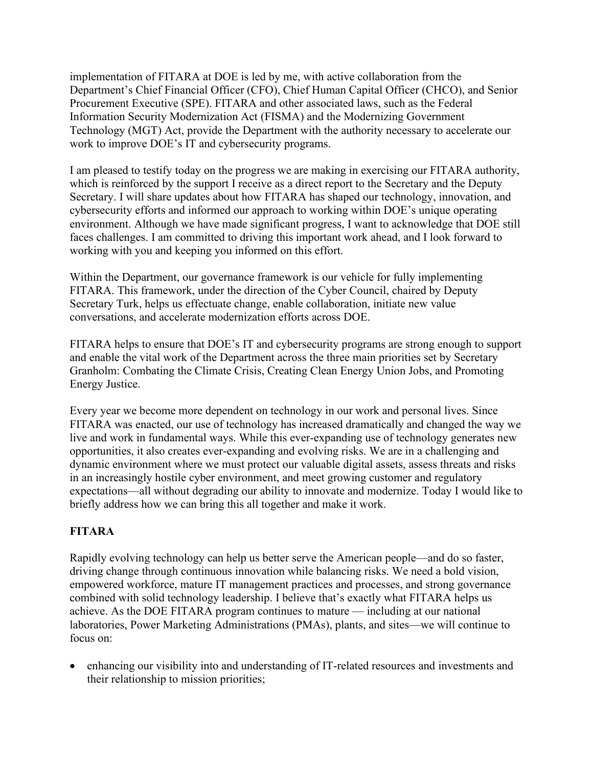implementation of FITARA at DOE is led by me, with active collaboration from the Department's Chief Financial Officer (CFO), Chief Human Capital Officer (CHCO), and Senior Procurement Executive (SPE). FITARA and other associated laws, such as the Federal Information Security Modernization Act (FISMA) and the Modernizing Government Technology (MGT) Act, provide the Department with the authority necessary to accelerate our work to improve DOE's IT and cybersecurity programs.

I am pleased to testify today on the progress we are making in exercising our FITARA authority, which is reinforced by the support I receive as a direct report to the Secretary and the Deputy Secretary. I will share updates about how FITARA has shaped our technology, innovation, and cybersecurity efforts and informed our approach to working within DOE's unique operating environment. Although we have made significant progress, I want to acknowledge that DOE still faces challenges. I am committed to driving this important work ahead, and I look forward to working with you and keeping you informed on this effort.

Within the Department, our governance framework is our vehicle for fully implementing FITARA. This framework, under the direction of the Cyber Council, chaired by Deputy Secretary Turk, helps us effectuate change, enable collaboration, initiate new value conversations, and accelerate modernization efforts across DOE.

FITARA helps to ensure that DOE's IT and cybersecurity programs are strong enough to support and enable the vital work of the Department across the three main priorities set by Secretary Granholm: Combating the Climate Crisis, Creating Clean Energy Union Jobs, and Promoting Energy Justice.

Every year we become more dependent on technology in our work and personal lives. Since FITARA was enacted, our use of technology has increased dramatically and changed the way we live and work in fundamental ways. While this ever-expanding use of technology generates new opportunities, it also creates ever-expanding and evolving risks. We are in a challenging and dynamic environment where we must protect our valuable digital assets, assess threats and risks in an increasingly hostile cyber environment, and meet growing customer and regulatory expectations—all without degrading our ability to innovate and modernize. Today I would like to briefly address how we can bring this all together and make it work.

## **FITARA**

Rapidly evolving technology can help us better serve the American people—and do so faster, driving change through continuous innovation while balancing risks. We need a bold vision, empowered workforce, mature IT management practices and processes, and strong governance combined with solid technology leadership. I believe that's exactly what FITARA helps us achieve. As the DOE FITARA program continues to mature — including at our national laboratories, Power Marketing Administrations (PMAs), plants, and sites—we will continue to focus on:

• enhancing our visibility into and understanding of IT-related resources and investments and their relationship to mission priorities;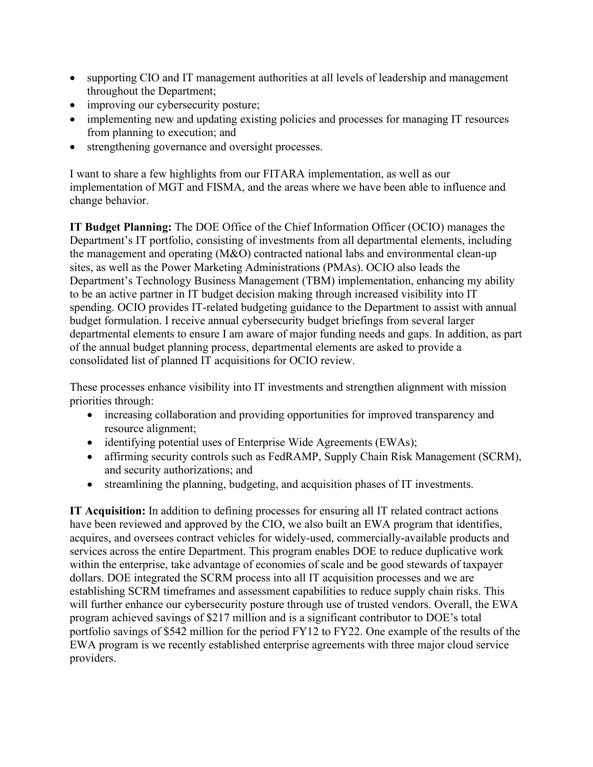- supporting CIO and IT management authorities at all levels of leadership and management throughout the Department;
- improving our cybersecurity posture;
- implementing new and updating existing policies and processes for managing IT resources from planning to execution; and
- strengthening governance and oversight processes.

I want to share a few highlights from our FITARA implementation, as well as our implementation of MGT and FISMA, and the areas where we have been able to influence and change behavior.

**IT Budget Planning:** The DOE Office of the Chief Information Officer (OCIO) manages the Department's IT portfolio, consisting of investments from all departmental elements, including the management and operating (M&O) contracted national labs and environmental clean-up sites, as well as the Power Marketing Administrations (PMAs). OCIO also leads the Department's Technology Business Management (TBM) implementation, enhancing my ability to be an active partner in IT budget decision making through increased visibility into IT spending. OCIO provides IT-related budgeting guidance to the Department to assist with annual budget formulation. I receive annual cybersecurity budget briefings from several larger departmental elements to ensure I am aware of major funding needs and gaps. In addition, as part of the annual budget planning process, departmental elements are asked to provide a consolidated list of planned IT acquisitions for OCIO review.

These processes enhance visibility into IT investments and strengthen alignment with mission priorities through:

- increasing collaboration and providing opportunities for improved transparency and resource alignment;
- identifying potential uses of Enterprise Wide Agreements (EWAs);
- affirming security controls such as FedRAMP, Supply Chain Risk Management (SCRM), and security authorizations; and
- streamlining the planning, budgeting, and acquisition phases of IT investments.

**IT Acquisition:** In addition to defining processes for ensuring all IT related contract actions have been reviewed and approved by the CIO, we also built an EWA program that identifies, acquires, and oversees contract vehicles for widely-used, commercially-available products and services across the entire Department. This program enables DOE to reduce duplicative work within the enterprise, take advantage of economies of scale and be good stewards of taxpayer dollars. DOE integrated the SCRM process into all IT acquisition processes and we are establishing SCRM timeframes and assessment capabilities to reduce supply chain risks. This will further enhance our cybersecurity posture through use of trusted vendors. Overall, the EWA program achieved savings of \$217 million and is a significant contributor to DOE's total portfolio savings of \$542 million for the period FY12 to FY22. One example of the results of the EWA program is we recently established enterprise agreements with three major cloud service providers.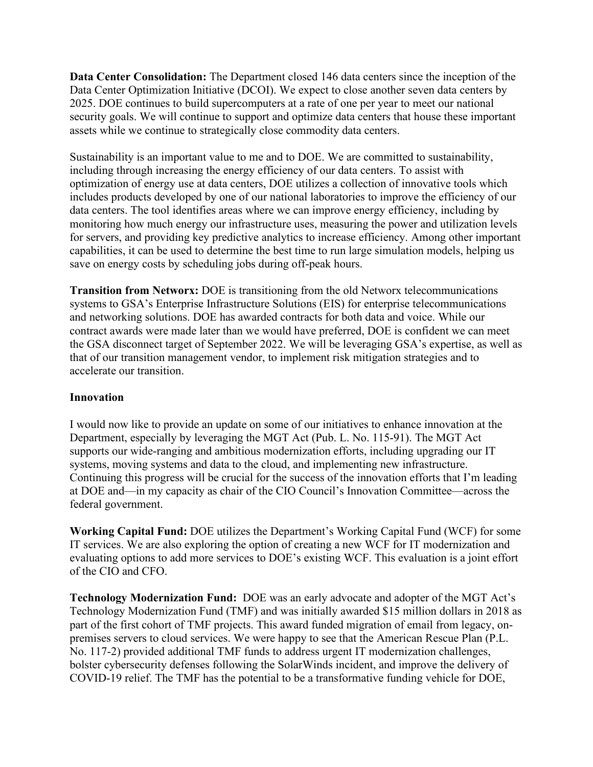**Data Center Consolidation:** The Department closed 146 data centers since the inception of the Data Center Optimization Initiative (DCOI). We expect to close another seven data centers by 2025. DOE continues to build supercomputers at a rate of one per year to meet our national security goals. We will continue to support and optimize data centers that house these important assets while we continue to strategically close commodity data centers.

Sustainability is an important value to me and to DOE. We are committed to sustainability, including through increasing the energy efficiency of our data centers. To assist with optimization of energy use at data centers, DOE utilizes a collection of innovative tools which includes products developed by one of our national laboratories to improve the efficiency of our data centers. The tool identifies areas where we can improve energy efficiency, including by monitoring how much energy our infrastructure uses, measuring the power and utilization levels for servers, and providing key predictive analytics to increase efficiency. Among other important capabilities, it can be used to determine the best time to run large simulation models, helping us save on energy costs by scheduling jobs during off-peak hours.

**Transition from Networx:** DOE is transitioning from the old Networx telecommunications systems to GSA's Enterprise Infrastructure Solutions (EIS) for enterprise telecommunications and networking solutions. DOE has awarded contracts for both data and voice. While our contract awards were made later than we would have preferred, DOE is confident we can meet the GSA disconnect target of September 2022. We will be leveraging GSA's expertise, as well as that of our transition management vendor, to implement risk mitigation strategies and to accelerate our transition.

## **Innovation**

I would now like to provide an update on some of our initiatives to enhance innovation at the Department, especially by leveraging the MGT Act (Pub. L. No. 115-91). The MGT Act supports our wide-ranging and ambitious modernization efforts, including upgrading our IT systems, moving systems and data to the cloud, and implementing new infrastructure. Continuing this progress will be crucial for the success of the innovation efforts that I'm leading at DOE and—in my capacity as chair of the CIO Council's Innovation Committee—across the federal government.

**Working Capital Fund:** DOE utilizes the Department's Working Capital Fund (WCF) for some IT services. We are also exploring the option of creating a new WCF for IT modernization and evaluating options to add more services to DOE's existing WCF. This evaluation is a joint effort of the CIO and CFO.

**Technology Modernization Fund:** DOE was an early advocate and adopter of the MGT Act's Technology Modernization Fund (TMF) and was initially awarded \$15 million dollars in 2018 as part of the first cohort of TMF projects. This award funded migration of email from legacy, onpremises servers to cloud services. We were happy to see that the American Rescue Plan (P.L. No. 117-2) provided additional TMF funds to address urgent IT modernization challenges, bolster cybersecurity defenses following the SolarWinds incident, and improve the delivery of COVID-19 relief. The TMF has the potential to be a transformative funding vehicle for DOE,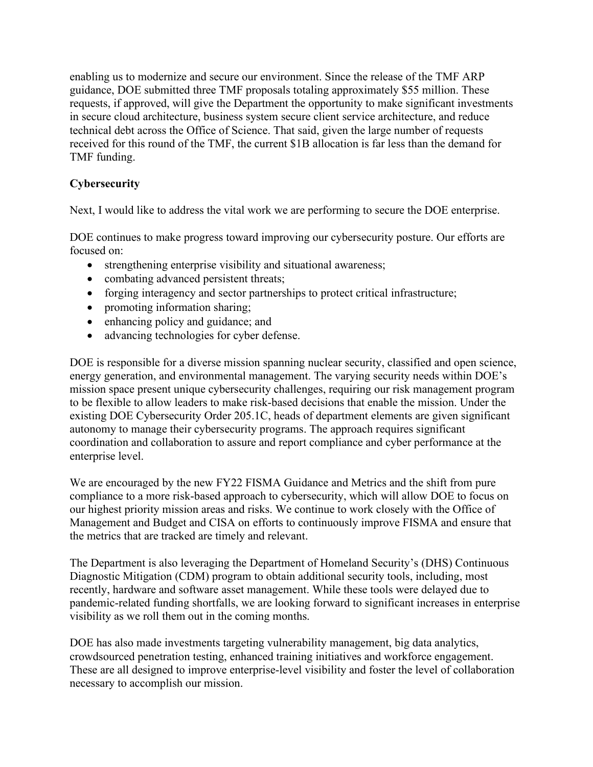enabling us to modernize and secure our environment. Since the release of the TMF ARP guidance, DOE submitted three TMF proposals totaling approximately \$55 million. These requests, if approved, will give the Department the opportunity to make significant investments in secure cloud architecture, business system secure client service architecture, and reduce technical debt across the Office of Science. That said, given the large number of requests received for this round of the TMF, the current \$1B allocation is far less than the demand for TMF funding.

# **Cybersecurity**

Next, I would like to address the vital work we are performing to secure the DOE enterprise.

DOE continues to make progress toward improving our cybersecurity posture. Our efforts are focused on:

- strengthening enterprise visibility and situational awareness;
- combating advanced persistent threats;
- forging interagency and sector partnerships to protect critical infrastructure;
- promoting information sharing;
- enhancing policy and guidance; and
- advancing technologies for cyber defense.

DOE is responsible for a diverse mission spanning [nuclear security,](https://powerpedia.energy.gov/wiki/Nuclear_security) classified and open science, energy generation, and environmental management. The varying security needs within DOE's mission space present unique cybersecurity challenges, requiring our risk management program to be flexible to allow leaders to make risk-based decisions that enable the mission. Under the existing DOE Cybersecurity Order 205.1C, heads of department elements are given significant autonomy to manage their cybersecurity programs. The approach requires significant coordination and collaboration to assure and report compliance and cyber performance at the enterprise level.

We are encouraged by the new FY22 FISMA Guidance and Metrics and the shift from pure compliance to a more risk-based approach to cybersecurity, which will allow DOE to focus on our highest priority mission areas and risks. We continue to work closely with the Office of Management and Budget and CISA on efforts to continuously improve FISMA and ensure that the metrics that are tracked are timely and relevant.

The Department is also leveraging the Department of Homeland Security's (DHS) Continuous Diagnostic Mitigation (CDM) program to obtain additional security tools, including, most recently, hardware and software asset management. While these tools were delayed due to pandemic-related funding shortfalls, we are looking forward to significant increases in enterprise visibility as we roll them out in the coming months.

DOE has also made investments targeting vulnerability management, big data analytics, crowdsourced penetration testing, enhanced training initiatives and workforce engagement. These are all designed to improve enterprise-level visibility and foster the level of collaboration necessary to accomplish our mission.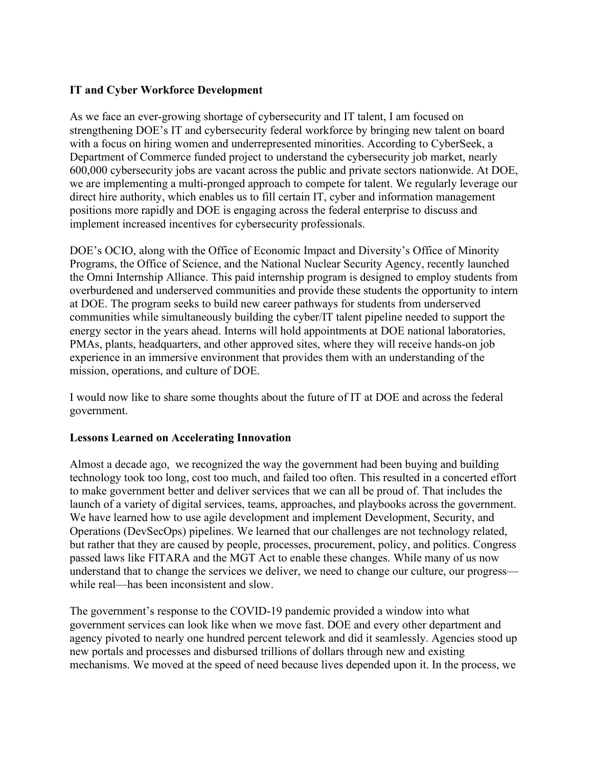## **IT and Cyber Workforce Development**

As we face an ever-growing shortage of cybersecurity and IT talent, I am focused on strengthening DOE's IT and cybersecurity federal workforce by bringing new talent on board with a focus on hiring women and underrepresented minorities. According to CyberSeek, a Department of Commerce funded project to understand the cybersecurity job market, nearly 600,000 cybersecurity jobs are vacant across the public and private sectors nationwide. At DOE, we are implementing a multi-pronged approach to compete for talent. We regularly leverage our direct hire authority, which enables us to fill certain IT, cyber and information management positions more rapidly and DOE is engaging across the federal enterprise to discuss and implement increased incentives for cybersecurity professionals.

DOE's OCIO, along with the Office of Economic Impact and Diversity's Office of Minority Programs, the Office of Science, and the National Nuclear Security Agency, recently launched the Omni Internship Alliance. This paid internship program is designed to employ students from overburdened and underserved communities and provide these students the opportunity to intern at DOE. The program seeks to build new career pathways for students from underserved communities while simultaneously building the cyber/IT talent pipeline needed to support the energy sector in the years ahead. Interns will hold appointments at DOE national laboratories, PMAs, plants, headquarters, and other approved sites, where they will receive hands-on job experience in an immersive environment that provides them with an understanding of the mission, operations, and culture of DOE.

I would now like to share some thoughts about the future of IT at DOE and across the federal government.

## **Lessons Learned on Accelerating Innovation**

Almost a decade ago, we recognized the way the government had been buying and building technology took too long, cost too much, and failed too often. This resulted in a concerted effort to make government better and deliver services that we can all be proud of. That includes the launch of a variety of digital services, teams, approaches, and playbooks across the government. We have learned how to use agile development and implement Development, Security, and Operations (DevSecOps) pipelines. We learned that our challenges are not technology related, but rather that they are caused by people, processes, procurement, policy, and politics. Congress passed laws like FITARA and the MGT Act to enable these changes. While many of us now understand that to change the services we deliver, we need to change our culture, our progress while real—has been inconsistent and slow.

The government's response to the COVID-19 pandemic provided a window into what government services can look like when we move fast. DOE and every other department and agency pivoted to nearly one hundred percent telework and did it seamlessly. Agencies stood up new portals and processes and disbursed trillions of dollars through new and existing mechanisms. We moved at the speed of need because lives depended upon it. In the process, we